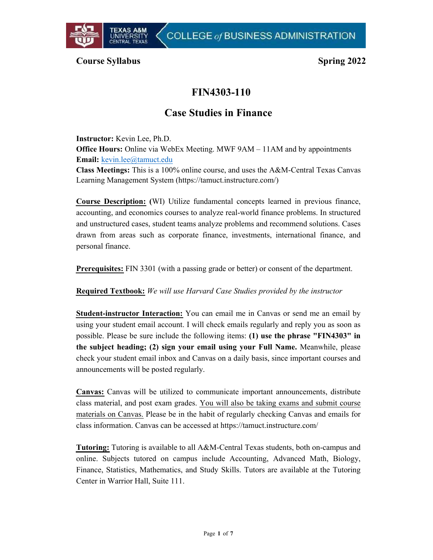

## Course Syllabus Spring 2022

# FIN4303-110

# Case Studies in Finance

Instructor: Kevin Lee, Ph.D. Office Hours: Online via WebEx Meeting. MWF 9AM – 11AM and by appointments Email: kevin.lee@tamuct.edu Class Meetings: This is a 100% online course, and uses the A&M-Central Texas Canvas Learning Management System (https://tamuct.instructure.com/)

Course Description: **(**WI) Utilize fundamental concepts learned in previous finance, accounting, and economics courses to analyze real-world finance problems. In structured and unstructured cases, student teams analyze problems and recommend solutions. Cases drawn from areas such as corporate finance, investments, international finance, and personal finance.

Prerequisites: FIN 3301 (with a passing grade or better) or consent of the department.

Required Textbook: *We will use Harvard Case Studies provided by the instructor*

Student-instructor Interaction: You can email me in Canvas or send me an email by using your student email account. I will check emails regularly and reply you as soon as possible. Please be sure include the following items: (1) use the phrase "FIN4303" in the subject heading; (2) sign your email using your Full Name. Meanwhile, please check your student email inbox and Canvas on a daily basis, since important courses and announcements will be posted regularly.

Canvas: Canvas will be utilized to communicate important announcements, distribute class material, and post exam grades. You will also be taking exams and submit course materials on Canvas. Please be in the habit of regularly checking Canvas and emails for class information. Canvas can be accessed at https://tamuct.instructure.com/

Tutoring: Tutoring is available to all A&M-Central Texas students, both on-campus and online. Subjects tutored on campus include Accounting, Advanced Math, Biology, Finance, Statistics, Mathematics, and Study Skills. Tutors are available at the Tutoring Center in Warrior Hall, Suite 111.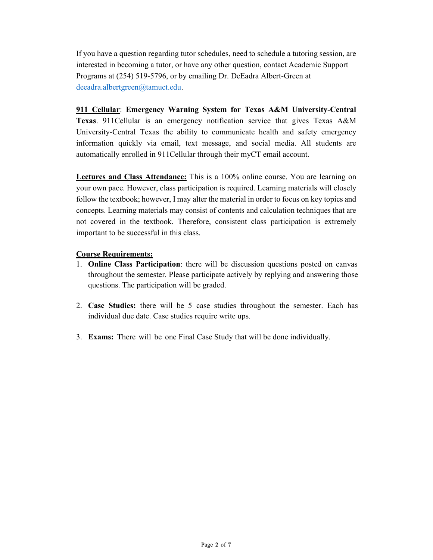If you have a question regarding tutor schedules, need to schedule a tutoring session, are interested in becoming a tutor, or have any other question, contact Academic Support Programs at (254) 519-5796, or by emailing Dr. DeEadra Albert-Green at deeadra.albertgreen@tamuct.edu.

911 Cellular: Emergency Warning System for Texas A&M University-Central Texas. 911Cellular is an emergency notification service that gives Texas A&M University-Central Texas the ability to communicate health and safety emergency information quickly via email, text message, and social media. All students are automatically enrolled in 911Cellular through their myCT email account.

Lectures and Class Attendance: This is a 100% online course. You are learning on your own pace. However, class participation is required. Learning materials will closely follow the textbook; however, I may alter the material in order to focus on key topics and concepts. Learning materials may consist of contents and calculation techniques that are not covered in the textbook. Therefore, consistent class participation is extremely important to be successful in this class.

### Course Requirements:

- 1. Online Class Participation: there will be discussion questions posted on canvas throughout the semester. Please participate actively by replying and answering those questions. The participation will be graded.
- 2. Case Studies: there will be 5 case studies throughout the semester. Each has individual due date. Case studies require write ups.
- 3. Exams: There will be one Final Case Study that will be done individually.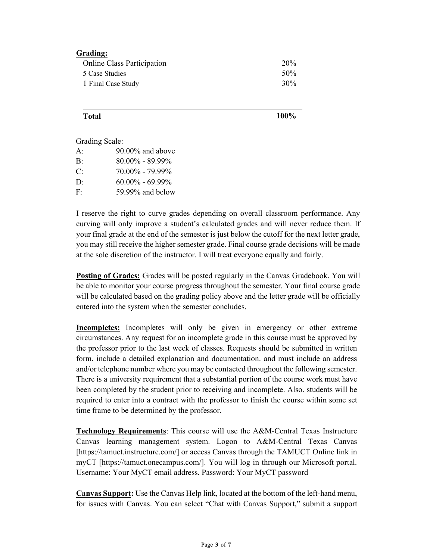#### Grading:

| <b>Online Class Participation</b> | 20% |
|-----------------------------------|-----|
| 5 Case Studies                    | 50% |
| 1 Final Case Study                | 30% |

 $\Gamma$ otal  $100\%$ 

Grading Scale:

| A:             | $90.00\%$ and above |  |
|----------------|---------------------|--|
| $\mathbf{B}$ : | $80.00\% - 89.99\%$ |  |
| C:             | $70.00\% - 79.99\%$ |  |
| $\mathbf{D}$   | $60.00\% - 69.99\%$ |  |
| F.             | 59.99% and below    |  |

I reserve the right to curve grades depending on overall classroom performance. Any curving will only improve a student's calculated grades and will never reduce them. If your final grade at the end of the semester is just below the cutoff for the next letter grade, you may still receive the higher semester grade. Final course grade decisions will be made at the sole discretion of the instructor. I will treat everyone equally and fairly.

**Posting of Grades:** Grades will be posted regularly in the Canvas Gradebook. You will be able to monitor your course progress throughout the semester. Your final course grade will be calculated based on the grading policy above and the letter grade will be officially entered into the system when the semester concludes.

Incompletes: Incompletes will only be given in emergency or other extreme circumstances. Any request for an incomplete grade in this course must be approved by the professor prior to the last week of classes. Requests should be submitted in written form. include a detailed explanation and documentation. and must include an address and/or telephone number where you may be contacted throughout the following semester. There is a university requirement that a substantial portion of the course work must have been completed by the student prior to receiving and incomplete. Also. students will be required to enter into a contract with the professor to finish the course within some set time frame to be determined by the professor.

Technology Requirements: This course will use the A&M-Central Texas Instructure Canvas learning management system. Logon to A&M-Central Texas Canvas [https://tamuct.instructure.com/] or access Canvas through the TAMUCT Online link in myCT [https://tamuct.onecampus.com/]. You will log in through our Microsoft portal. Username: Your MyCT email address. Password: Your MyCT password

Canvas Support: Use the Canvas Help link, located at the bottom of the left-hand menu, for issues with Canvas. You can select "Chat with Canvas Support," submit a support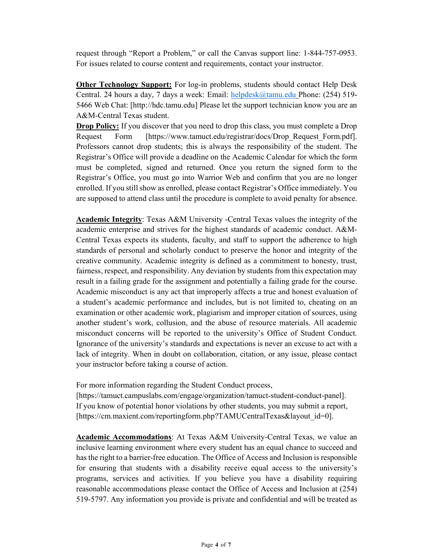request through "Report a Problem," or call the Canvas support line: 1-844-757-0953. For issues related to course content and requirements, contact your instructor.

Other Technology Support: For log-in problems, students should contact Help Desk Central. 24 hours a day, 7 days a week: Email: helpdesk@tamu.edu Phone: (254) 519- 5466 Web Chat: [http://hdc.tamu.edu] Please let the support technician know you are an A&M-Central Texas student.

**Drop Policy:** If you discover that you need to drop this class, you must complete a Drop Request Form [https://www.tamuct.edu/registrar/docs/Drop\_Request\_Form.pdf]. Professors cannot drop students; this is always the responsibility of the student. The Registrar's Office will provide a deadline on the Academic Calendar for which the form must be completed, signed and returned. Once you return the signed form to the Registrar's Office, you must go into Warrior Web and confirm that you are no longer enrolled. If you still show as enrolled, please contact Registrar's Office immediately. You are supposed to attend class until the procedure is complete to avoid penalty for absence.

Academic Integrity: Texas A&M University -Central Texas values the integrity of the academic enterprise and strives for the highest standards of academic conduct. A&M-Central Texas expects its students, faculty, and staff to support the adherence to high standards of personal and scholarly conduct to preserve the honor and integrity of the creative community. Academic integrity is defined as a commitment to honesty, trust, fairness, respect, and responsibility. Any deviation by students from this expectation may result in a failing grade for the assignment and potentially a failing grade for the course. Academic misconduct is any act that improperly affects a true and honest evaluation of a student's academic performance and includes, but is not limited to, cheating on an examination or other academic work, plagiarism and improper citation of sources, using another student's work, collusion, and the abuse of resource materials. All academic misconduct concerns will be reported to the university's Office of Student Conduct. Ignorance of the university's standards and expectations is never an excuse to act with a lack of integrity. When in doubt on collaboration, citation, or any issue, please contact your instructor before taking a course of action.

For more information regarding the Student Conduct process,

[https://tamuct.campuslabs.com/engage/organization/tamuct-student-conduct-panel]. If you know of potential honor violations by other students, you may submit a report, [https://cm.maxient.com/reportingform.php?TAMUCentralTexas&layout\_id=0].

Academic Accommodations: At Texas A&M University-Central Texas, we value an inclusive learning environment where every student has an equal chance to succeed and has the right to a barrier-free education. The Office of Access and Inclusion is responsible for ensuring that students with a disability receive equal access to the university's programs, services and activities. If you believe you have a disability requiring reasonable accommodations please contact the Office of Access and Inclusion at (254) 519-5797. Any information you provide is private and confidential and will be treated as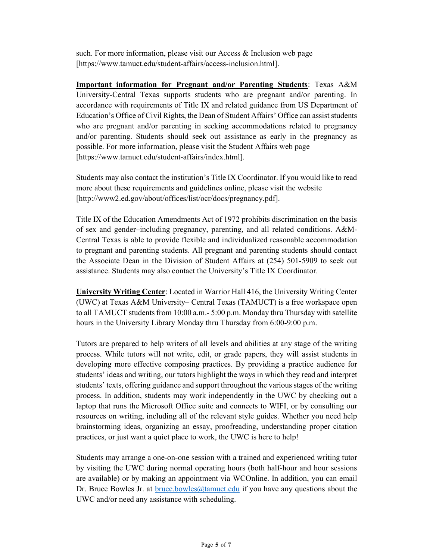such. For more information, please visit our Access & Inclusion web page [https://www.tamuct.edu/student-affairs/access-inclusion.html].

Important information for Pregnant and/or Parenting Students: Texas A&M University-Central Texas supports students who are pregnant and/or parenting. In accordance with requirements of Title IX and related guidance from US Department of Education's Office of Civil Rights, the Dean of Student Affairs' Office can assist students who are pregnant and/or parenting in seeking accommodations related to pregnancy and/or parenting. Students should seek out assistance as early in the pregnancy as possible. For more information, please visit the Student Affairs web page [https://www.tamuct.edu/student-affairs/index.html].

Students may also contact the institution's Title IX Coordinator. If you would like to read more about these requirements and guidelines online, please visit the website [http://www2.ed.gov/about/offices/list/ocr/docs/pregnancy.pdf].

Title IX of the Education Amendments Act of 1972 prohibits discrimination on the basis of sex and gender–including pregnancy, parenting, and all related conditions. A&M-Central Texas is able to provide flexible and individualized reasonable accommodation to pregnant and parenting students. All pregnant and parenting students should contact the Associate Dean in the Division of Student Affairs at (254) 501-5909 to seek out assistance. Students may also contact the University's Title IX Coordinator.

University Writing Center: Located in Warrior Hall 416, the University Writing Center (UWC) at Texas A&M University– Central Texas (TAMUCT) is a free workspace open to all TAMUCT students from 10:00 a.m.- 5:00 p.m. Monday thru Thursday with satellite hours in the University Library Monday thru Thursday from 6:00-9:00 p.m.

Tutors are prepared to help writers of all levels and abilities at any stage of the writing process. While tutors will not write, edit, or grade papers, they will assist students in developing more effective composing practices. By providing a practice audience for students' ideas and writing, our tutors highlight the ways in which they read and interpret students' texts, offering guidance and support throughout the various stages of the writing process. In addition, students may work independently in the UWC by checking out a laptop that runs the Microsoft Office suite and connects to WIFI, or by consulting our resources on writing, including all of the relevant style guides. Whether you need help brainstorming ideas, organizing an essay, proofreading, understanding proper citation practices, or just want a quiet place to work, the UWC is here to help!

Students may arrange a one-on-one session with a trained and experienced writing tutor by visiting the UWC during normal operating hours (both half-hour and hour sessions are available) or by making an appointment via WCOnline. In addition, you can email Dr. Bruce Bowles Jr. at bruce.bowles@tamuct.edu if you have any questions about the UWC and/or need any assistance with scheduling.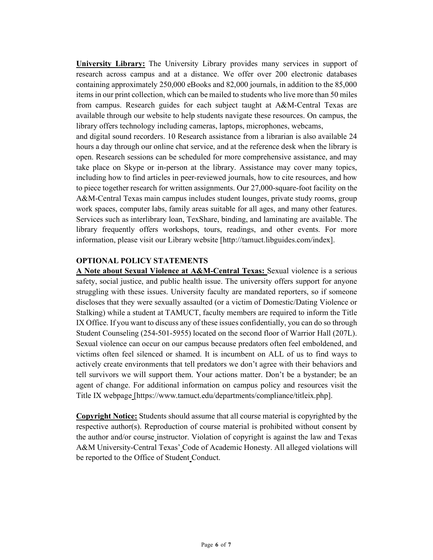University Library: The University Library provides many services in support of research across campus and at a distance. We offer over 200 electronic databases containing approximately 250,000 eBooks and 82,000 journals, in addition to the 85,000 items in our print collection, which can be mailed to students who live more than 50 miles from campus. Research guides for each subject taught at A&M-Central Texas are available through our website to help students navigate these resources. On campus, the library offers technology including cameras, laptops, microphones, webcams,

and digital sound recorders. 10 Research assistance from a librarian is also available 24 hours a day through our online chat service, and at the reference desk when the library is open. Research sessions can be scheduled for more comprehensive assistance, and may take place on Skype or in-person at the library. Assistance may cover many topics, including how to find articles in peer-reviewed journals, how to cite resources, and how to piece together research for written assignments. Our 27,000-square-foot facility on the A&M-Central Texas main campus includes student lounges, private study rooms, group work spaces, computer labs, family areas suitable for all ages, and many other features. Services such as interlibrary loan, TexShare, binding, and laminating are available. The library frequently offers workshops, tours, readings, and other events. For more information, please visit our Library website [http://tamuct.libguides.com/index].

#### OPTIONAL POLICY STATEMENTS

A Note about Sexual Violence at A&M-Central Texas: Sexual violence is a serious safety, social justice, and public health issue. The university offers support for anyone struggling with these issues. University faculty are mandated reporters, so if someone discloses that they were sexually assaulted (or a victim of Domestic/Dating Violence or Stalking) while a student at TAMUCT, faculty members are required to inform the Title IX Office. If you want to discuss any of these issues confidentially, you can do so through Student Counseling (254-501-5955) located on the second floor of Warrior Hall (207L). Sexual violence can occur on our campus because predators often feel emboldened, and victims often feel silenced or shamed. It is incumbent on ALL of us to find ways to actively create environments that tell predators we don't agree with their behaviors and tell survivors we will support them. Your actions matter. Don't be a bystander; be an agent of change. For additional information on campus policy and resources visit the Title IX webpage [https://www.tamuct.edu/departments/compliance/titleix.php].

Copyright Notice: Students should assume that all course material is copyrighted by the respective author(s). Reproduction of course material is prohibited without consent by the author and/or course instructor. Violation of copyright is against the law and Texas A&M University-Central Texas' Code of Academic Honesty. All alleged violations will be reported to the Office of Student Conduct.